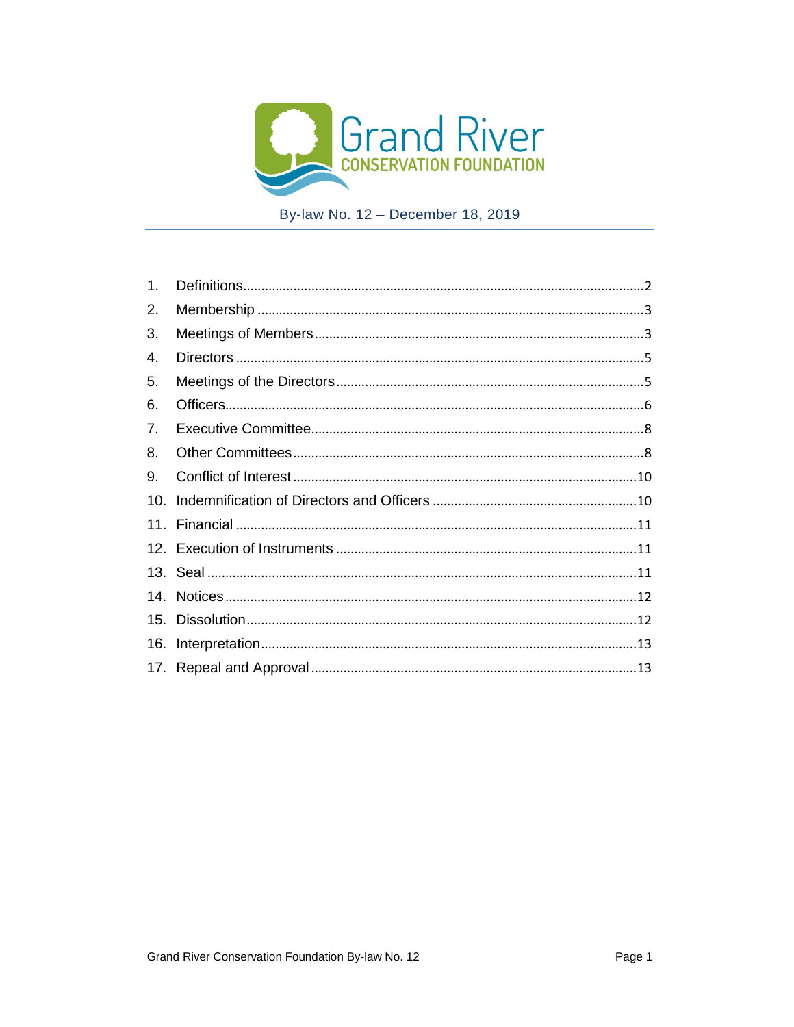

By-law No. 12 - December 18, 2019

| 1.  |  |
|-----|--|
| 2.  |  |
| 3.  |  |
| 4.  |  |
| 5.  |  |
| 6.  |  |
| 7.  |  |
| 8.  |  |
| 9.  |  |
| 10. |  |
|     |  |
|     |  |
|     |  |
|     |  |
|     |  |
|     |  |
|     |  |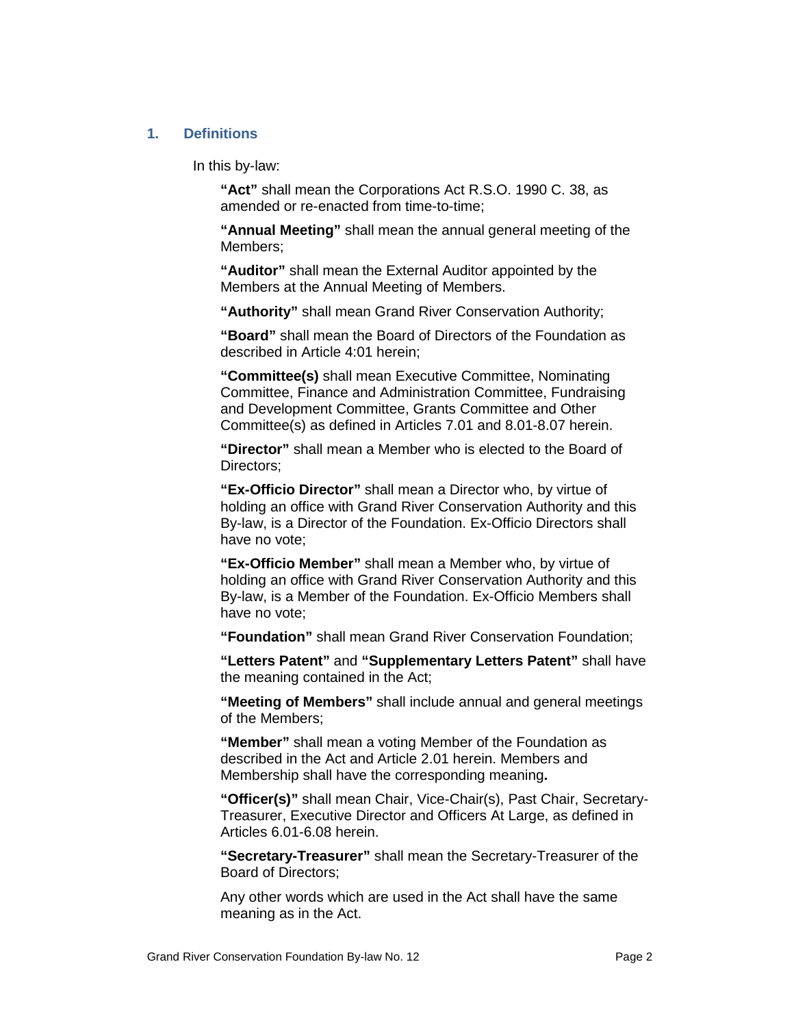#### <span id="page-1-0"></span>**1. Definitions**

In this by-law:

**"Act"** shall mean the Corporations Act R.S.O. 1990 C. 38, as amended or re-enacted from time-to-time;

**"Annual Meeting"** shall mean the annual general meeting of the Members;

**"Auditor"** shall mean the External Auditor appointed by the Members at the Annual Meeting of Members.

**"Authority"** shall mean Grand River Conservation Authority;

**"Board"** shall mean the Board of Directors of the Foundation as described in Article 4:01 herein;

**"Committee(s)** shall mean Executive Committee, Nominating Committee, Finance and Administration Committee, Fundraising and Development Committee, Grants Committee and Other Committee(s) as defined in Articles 7.01 and 8.01-8.07 herein.

**"Director"** shall mean a Member who is elected to the Board of Directors;

**"Ex-Officio Director"** shall mean a Director who, by virtue of holding an office with Grand River Conservation Authority and this By-law, is a Director of the Foundation. Ex-Officio Directors shall have no vote;

**"Ex-Officio Member"** shall mean a Member who, by virtue of holding an office with Grand River Conservation Authority and this By-law, is a Member of the Foundation. Ex-Officio Members shall have no vote;

**"Foundation"** shall mean Grand River Conservation Foundation;

**"Letters Patent"** and **"Supplementary Letters Patent"** shall have the meaning contained in the Act;

**"Meeting of Members"** shall include annual and general meetings of the Members;

**"Member"** shall mean a voting Member of the Foundation as described in the Act and Article 2.01 herein. Members and Membership shall have the corresponding meaning**.**

**"Officer(s)"** shall mean Chair, Vice-Chair(s), Past Chair, Secretary-Treasurer, Executive Director and Officers At Large, as defined in Articles 6.01-6.08 herein.

**"Secretary-Treasurer"** shall mean the Secretary-Treasurer of the Board of Directors;

Any other words which are used in the Act shall have the same meaning as in the Act.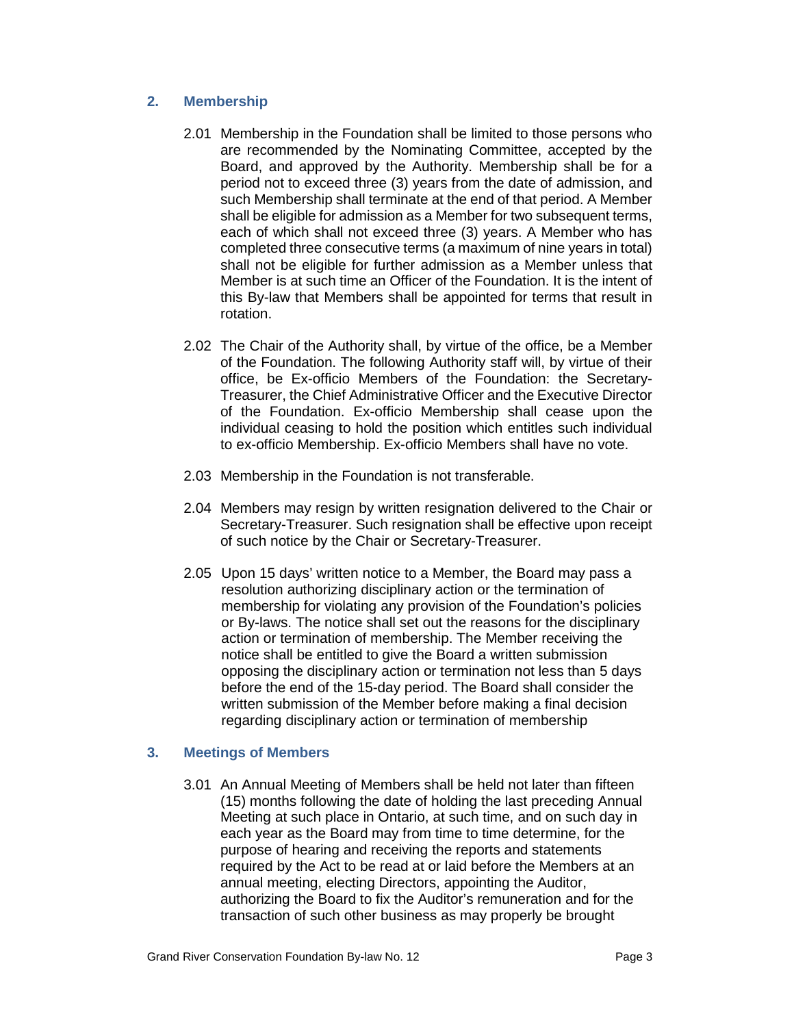# <span id="page-2-0"></span>**2. Membership**

- 2.01 Membership in the Foundation shall be limited to those persons who are recommended by the Nominating Committee, accepted by the Board, and approved by the Authority. Membership shall be for a period not to exceed three (3) years from the date of admission, and such Membership shall terminate at the end of that period. A Member shall be eligible for admission as a Member for two subsequent terms, each of which shall not exceed three (3) years. A Member who has completed three consecutive terms (a maximum of nine years in total) shall not be eligible for further admission as a Member unless that Member is at such time an Officer of the Foundation. It is the intent of this By-law that Members shall be appointed for terms that result in rotation.
- 2.02 The Chair of the Authority shall, by virtue of the office, be a Member of the Foundation. The following Authority staff will, by virtue of their office, be Ex-officio Members of the Foundation: the Secretary-Treasurer, the Chief Administrative Officer and the Executive Director of the Foundation. Ex-officio Membership shall cease upon the individual ceasing to hold the position which entitles such individual to ex-officio Membership. Ex-officio Members shall have no vote.
- 2.03 Membership in the Foundation is not transferable.
- 2.04 Members may resign by written resignation delivered to the Chair or Secretary-Treasurer. Such resignation shall be effective upon receipt of such notice by the Chair or Secretary-Treasurer.
- 2.05 Upon 15 days' written notice to a Member, the Board may pass a resolution authorizing disciplinary action or the termination of membership for violating any provision of the Foundation's policies or By-laws. The notice shall set out the reasons for the disciplinary action or termination of membership. The Member receiving the notice shall be entitled to give the Board a written submission opposing the disciplinary action or termination not less than 5 days before the end of the 15-day period. The Board shall consider the written submission of the Member before making a final decision regarding disciplinary action or termination of membership

# <span id="page-2-1"></span>**3. Meetings of Members**

3.01 An Annual Meeting of Members shall be held not later than fifteen (15) months following the date of holding the last preceding Annual Meeting at such place in Ontario, at such time, and on such day in each year as the Board may from time to time determine, for the purpose of hearing and receiving the reports and statements required by the Act to be read at or laid before the Members at an annual meeting, electing Directors, appointing the Auditor, authorizing the Board to fix the Auditor's remuneration and for the transaction of such other business as may properly be brought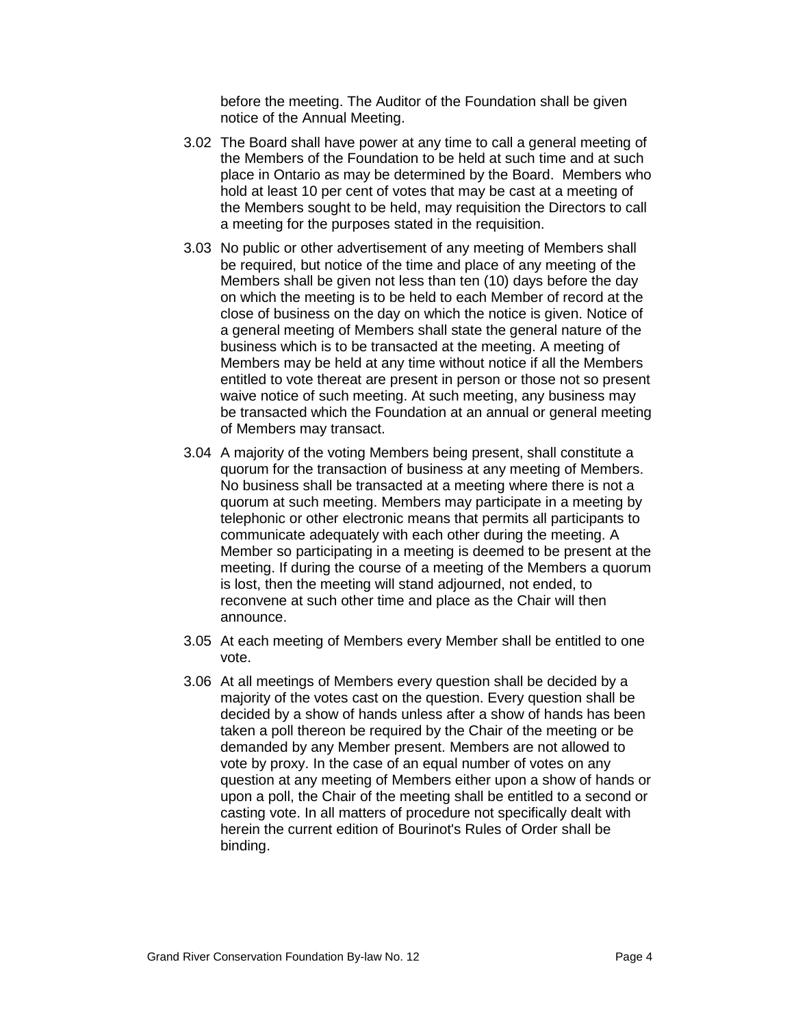before the meeting. The Auditor of the Foundation shall be given notice of the Annual Meeting.

- 3.02 The Board shall have power at any time to call a general meeting of the Members of the Foundation to be held at such time and at such place in Ontario as may be determined by the Board. Members who hold at least 10 per cent of votes that may be cast at a meeting of the Members sought to be held, may requisition the Directors to call a meeting for the purposes stated in the requisition.
- 3.03 No public or other advertisement of any meeting of Members shall be required, but notice of the time and place of any meeting of the Members shall be given not less than ten (10) days before the day on which the meeting is to be held to each Member of record at the close of business on the day on which the notice is given. Notice of a general meeting of Members shall state the general nature of the business which is to be transacted at the meeting. A meeting of Members may be held at any time without notice if all the Members entitled to vote thereat are present in person or those not so present waive notice of such meeting. At such meeting, any business may be transacted which the Foundation at an annual or general meeting of Members may transact.
- 3.04 A majority of the voting Members being present, shall constitute a quorum for the transaction of business at any meeting of Members. No business shall be transacted at a meeting where there is not a quorum at such meeting. Members may participate in a meeting by telephonic or other electronic means that permits all participants to communicate adequately with each other during the meeting. A Member so participating in a meeting is deemed to be present at the meeting. If during the course of a meeting of the Members a quorum is lost, then the meeting will stand adjourned, not ended, to reconvene at such other time and place as the Chair will then announce.
- 3.05 At each meeting of Members every Member shall be entitled to one vote.
- 3.06 At all meetings of Members every question shall be decided by a majority of the votes cast on the question. Every question shall be decided by a show of hands unless after a show of hands has been taken a poll thereon be required by the Chair of the meeting or be demanded by any Member present. Members are not allowed to vote by proxy. In the case of an equal number of votes on any question at any meeting of Members either upon a show of hands or upon a poll, the Chair of the meeting shall be entitled to a second or casting vote. In all matters of procedure not specifically dealt with herein the current edition of Bourinot's Rules of Order shall be binding.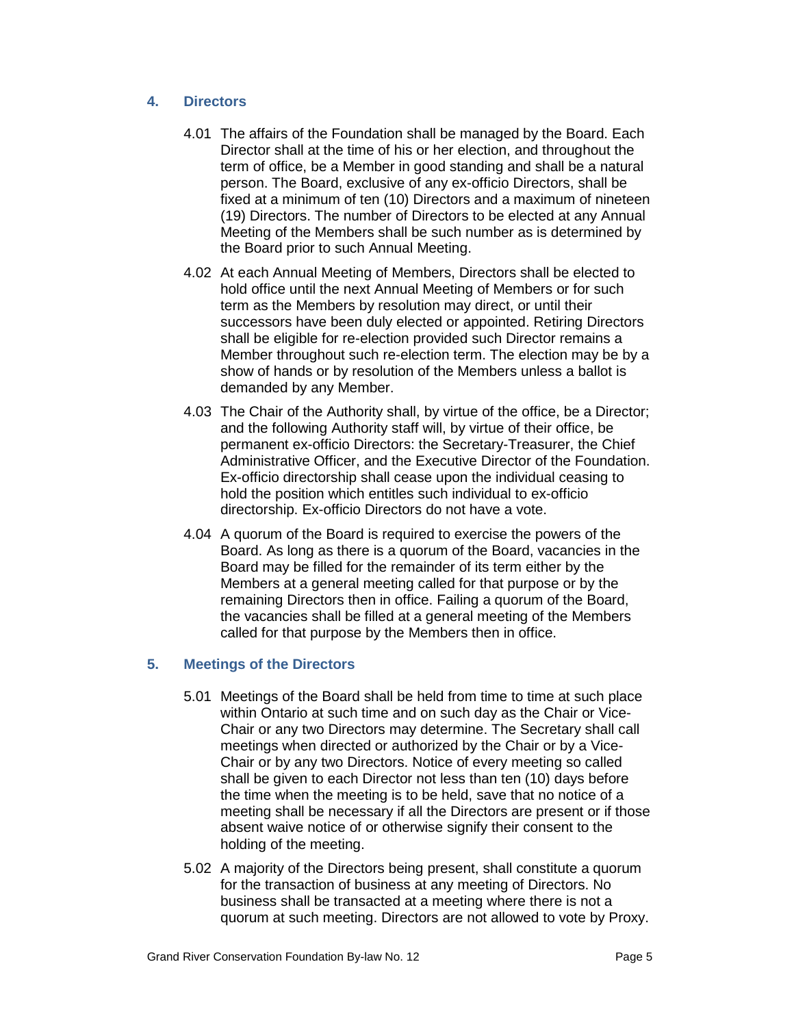# <span id="page-4-0"></span>**4. Directors**

- 4.01 The affairs of the Foundation shall be managed by the Board. Each Director shall at the time of his or her election, and throughout the term of office, be a Member in good standing and shall be a natural person. The Board, exclusive of any ex-officio Directors, shall be fixed at a minimum of ten (10) Directors and a maximum of nineteen (19) Directors. The number of Directors to be elected at any Annual Meeting of the Members shall be such number as is determined by the Board prior to such Annual Meeting.
- 4.02 At each Annual Meeting of Members, Directors shall be elected to hold office until the next Annual Meeting of Members or for such term as the Members by resolution may direct, or until their successors have been duly elected or appointed. Retiring Directors shall be eligible for re-election provided such Director remains a Member throughout such re-election term. The election may be by a show of hands or by resolution of the Members unless a ballot is demanded by any Member.
- 4.03 The Chair of the Authority shall, by virtue of the office, be a Director; and the following Authority staff will, by virtue of their office, be permanent ex-officio Directors: the Secretary-Treasurer, the Chief Administrative Officer, and the Executive Director of the Foundation. Ex-officio directorship shall cease upon the individual ceasing to hold the position which entitles such individual to ex-officio directorship. Ex-officio Directors do not have a vote.
- 4.04 A quorum of the Board is required to exercise the powers of the Board. As long as there is a quorum of the Board, vacancies in the Board may be filled for the remainder of its term either by the Members at a general meeting called for that purpose or by the remaining Directors then in office. Failing a quorum of the Board, the vacancies shall be filled at a general meeting of the Members called for that purpose by the Members then in office.

# <span id="page-4-1"></span>**5. Meetings of the Directors**

- 5.01 Meetings of the Board shall be held from time to time at such place within Ontario at such time and on such day as the Chair or Vice-Chair or any two Directors may determine. The Secretary shall call meetings when directed or authorized by the Chair or by a Vice-Chair or by any two Directors. Notice of every meeting so called shall be given to each Director not less than ten (10) days before the time when the meeting is to be held, save that no notice of a meeting shall be necessary if all the Directors are present or if those absent waive notice of or otherwise signify their consent to the holding of the meeting.
- 5.02 A majority of the Directors being present, shall constitute a quorum for the transaction of business at any meeting of Directors. No business shall be transacted at a meeting where there is not a quorum at such meeting. Directors are not allowed to vote by Proxy.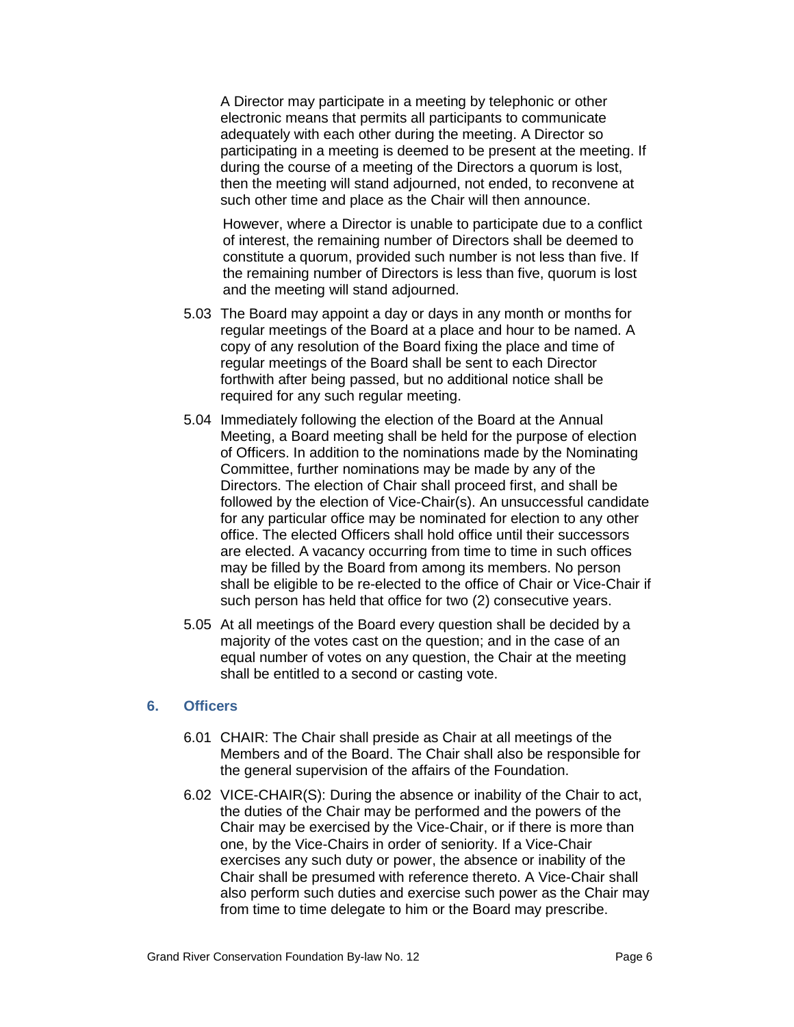A Director may participate in a meeting by telephonic or other electronic means that permits all participants to communicate adequately with each other during the meeting. A Director so participating in a meeting is deemed to be present at the meeting. If during the course of a meeting of the Directors a quorum is lost, then the meeting will stand adjourned, not ended, to reconvene at such other time and place as the Chair will then announce.

However, where a Director is unable to participate due to a conflict of interest, the remaining number of Directors shall be deemed to constitute a quorum, provided such number is not less than five. If the remaining number of Directors is less than five, quorum is lost and the meeting will stand adjourned.

- 5.03 The Board may appoint a day or days in any month or months for regular meetings of the Board at a place and hour to be named. A copy of any resolution of the Board fixing the place and time of regular meetings of the Board shall be sent to each Director forthwith after being passed, but no additional notice shall be required for any such regular meeting.
- 5.04 Immediately following the election of the Board at the Annual Meeting, a Board meeting shall be held for the purpose of election of Officers. In addition to the nominations made by the Nominating Committee, further nominations may be made by any of the Directors. The election of Chair shall proceed first, and shall be followed by the election of Vice-Chair(s). An unsuccessful candidate for any particular office may be nominated for election to any other office. The elected Officers shall hold office until their successors are elected. A vacancy occurring from time to time in such offices may be filled by the Board from among its members. No person shall be eligible to be re-elected to the office of Chair or Vice-Chair if such person has held that office for two (2) consecutive years.
- 5.05 At all meetings of the Board every question shall be decided by a majority of the votes cast on the question; and in the case of an equal number of votes on any question, the Chair at the meeting shall be entitled to a second or casting vote.

### <span id="page-5-0"></span>**6. Officers**

- 6.01 CHAIR: The Chair shall preside as Chair at all meetings of the Members and of the Board. The Chair shall also be responsible for the general supervision of the affairs of the Foundation.
- 6.02 VICE-CHAIR(S): During the absence or inability of the Chair to act, the duties of the Chair may be performed and the powers of the Chair may be exercised by the Vice-Chair, or if there is more than one, by the Vice-Chairs in order of seniority. If a Vice-Chair exercises any such duty or power, the absence or inability of the Chair shall be presumed with reference thereto. A Vice-Chair shall also perform such duties and exercise such power as the Chair may from time to time delegate to him or the Board may prescribe.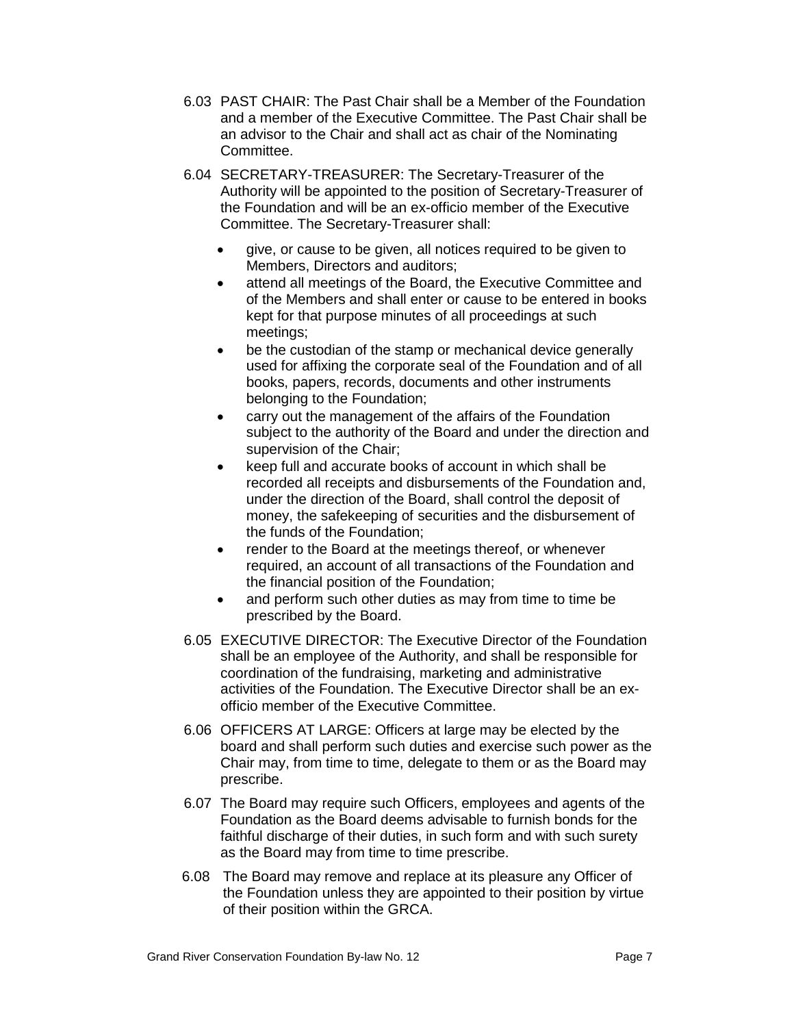- 6.03 PAST CHAIR: The Past Chair shall be a Member of the Foundation and a member of the Executive Committee. The Past Chair shall be an advisor to the Chair and shall act as chair of the Nominating Committee.
- 6.04 SECRETARY-TREASURER: The Secretary-Treasurer of the Authority will be appointed to the position of Secretary-Treasurer of the Foundation and will be an ex-officio member of the Executive Committee. The Secretary-Treasurer shall:
	- give, or cause to be given, all notices required to be given to Members, Directors and auditors;
	- attend all meetings of the Board, the Executive Committee and of the Members and shall enter or cause to be entered in books kept for that purpose minutes of all proceedings at such meetings;
	- be the custodian of the stamp or mechanical device generally used for affixing the corporate seal of the Foundation and of all books, papers, records, documents and other instruments belonging to the Foundation;
	- carry out the management of the affairs of the Foundation subject to the authority of the Board and under the direction and supervision of the Chair;
	- keep full and accurate books of account in which shall be recorded all receipts and disbursements of the Foundation and, under the direction of the Board, shall control the deposit of money, the safekeeping of securities and the disbursement of the funds of the Foundation;
	- render to the Board at the meetings thereof, or whenever required, an account of all transactions of the Foundation and the financial position of the Foundation;
	- and perform such other duties as may from time to time be prescribed by the Board.
- 6.05 EXECUTIVE DIRECTOR: The Executive Director of the Foundation shall be an employee of the Authority, and shall be responsible for coordination of the fundraising, marketing and administrative activities of the Foundation. The Executive Director shall be an exofficio member of the Executive Committee.
- 6.06 OFFICERS AT LARGE: Officers at large may be elected by the board and shall perform such duties and exercise such power as the Chair may, from time to time, delegate to them or as the Board may prescribe.
- 6.07 The Board may require such Officers, employees and agents of the Foundation as the Board deems advisable to furnish bonds for the faithful discharge of their duties, in such form and with such surety as the Board may from time to time prescribe.
- 6.08 The Board may remove and replace at its pleasure any Officer of the Foundation unless they are appointed to their position by virtue of their position within the GRCA.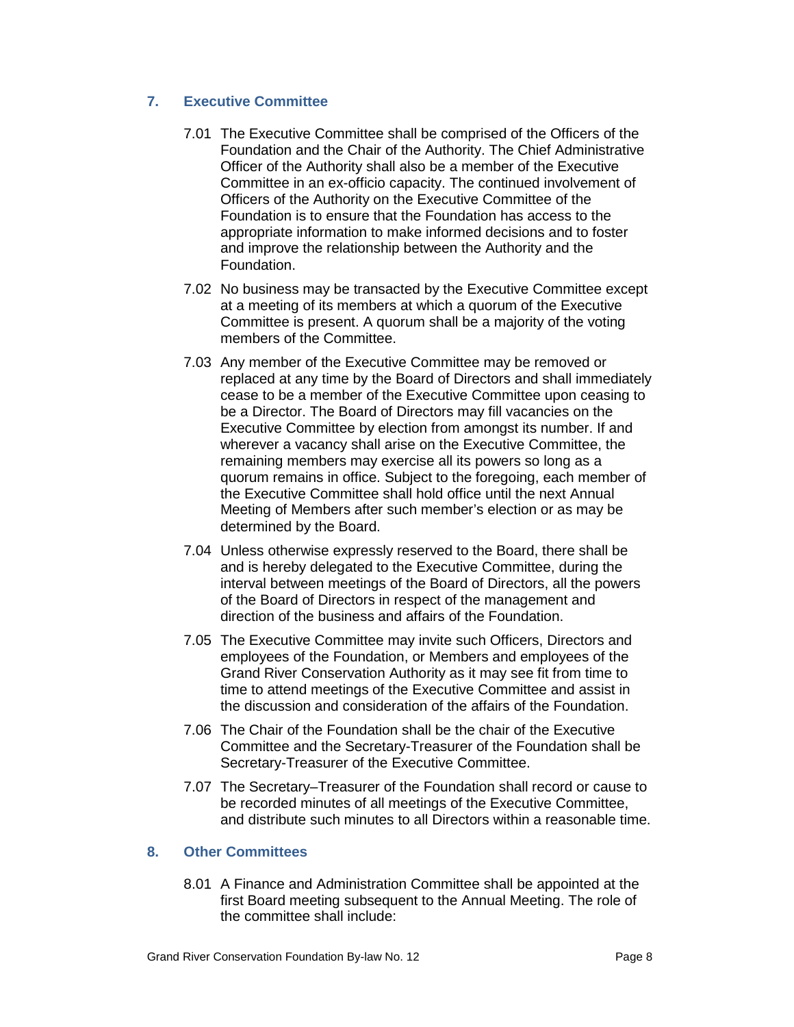# <span id="page-7-0"></span>**7. Executive Committee**

- 7.01 The Executive Committee shall be comprised of the Officers of the Foundation and the Chair of the Authority. The Chief Administrative Officer of the Authority shall also be a member of the Executive Committee in an ex-officio capacity. The continued involvement of Officers of the Authority on the Executive Committee of the Foundation is to ensure that the Foundation has access to the appropriate information to make informed decisions and to foster and improve the relationship between the Authority and the Foundation.
- 7.02 No business may be transacted by the Executive Committee except at a meeting of its members at which a quorum of the Executive Committee is present. A quorum shall be a majority of the voting members of the Committee.
- 7.03 Any member of the Executive Committee may be removed or replaced at any time by the Board of Directors and shall immediately cease to be a member of the Executive Committee upon ceasing to be a Director. The Board of Directors may fill vacancies on the Executive Committee by election from amongst its number. If and wherever a vacancy shall arise on the Executive Committee, the remaining members may exercise all its powers so long as a quorum remains in office. Subject to the foregoing, each member of the Executive Committee shall hold office until the next Annual Meeting of Members after such member's election or as may be determined by the Board.
- 7.04 Unless otherwise expressly reserved to the Board, there shall be and is hereby delegated to the Executive Committee, during the interval between meetings of the Board of Directors, all the powers of the Board of Directors in respect of the management and direction of the business and affairs of the Foundation.
- 7.05 The Executive Committee may invite such Officers, Directors and employees of the Foundation, or Members and employees of the Grand River Conservation Authority as it may see fit from time to time to attend meetings of the Executive Committee and assist in the discussion and consideration of the affairs of the Foundation.
- 7.06 The Chair of the Foundation shall be the chair of the Executive Committee and the Secretary-Treasurer of the Foundation shall be Secretary-Treasurer of the Executive Committee.
- 7.07 The Secretary–Treasurer of the Foundation shall record or cause to be recorded minutes of all meetings of the Executive Committee, and distribute such minutes to all Directors within a reasonable time.

# <span id="page-7-1"></span>**8. Other Committees**

8.01 A Finance and Administration Committee shall be appointed at the first Board meeting subsequent to the Annual Meeting. The role of the committee shall include: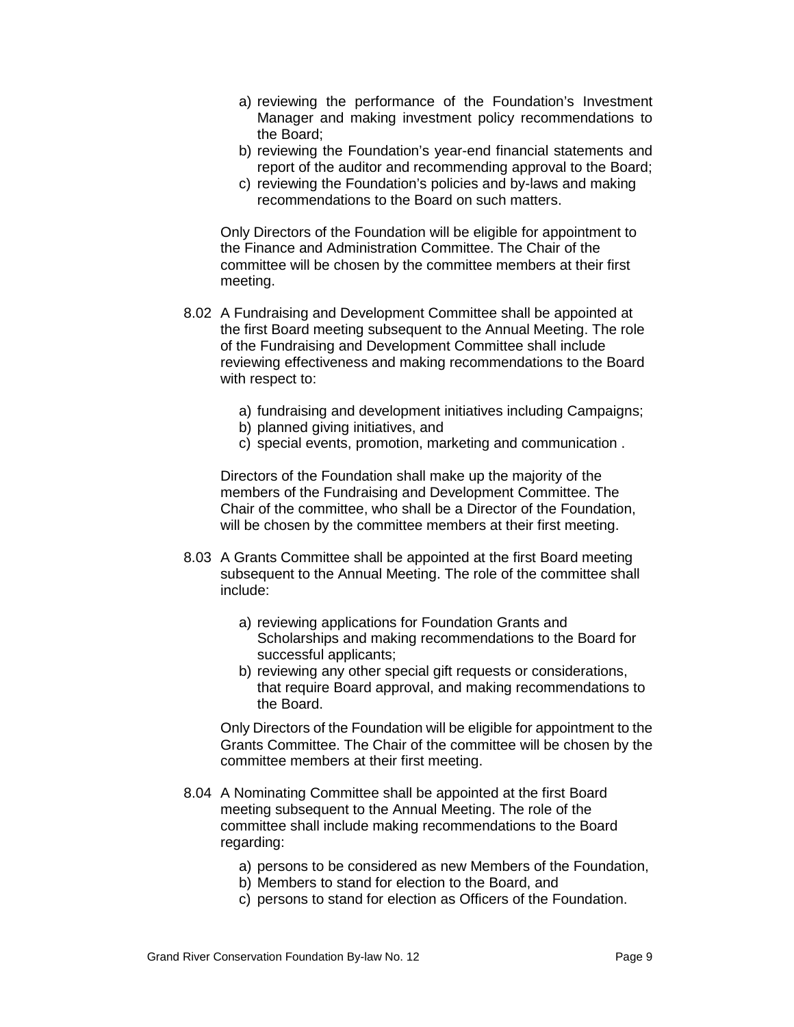- a) reviewing the performance of the Foundation's Investment Manager and making investment policy recommendations to the Board;
- b) reviewing the Foundation's year-end financial statements and report of the auditor and recommending approval to the Board;
- c) reviewing the Foundation's policies and by-laws and making recommendations to the Board on such matters.

Only Directors of the Foundation will be eligible for appointment to the Finance and Administration Committee. The Chair of the committee will be chosen by the committee members at their first meeting.

- 8.02 A Fundraising and Development Committee shall be appointed at the first Board meeting subsequent to the Annual Meeting. The role of the Fundraising and Development Committee shall include reviewing effectiveness and making recommendations to the Board with respect to:
	- a) fundraising and development initiatives including Campaigns;
	- b) planned giving initiatives, and
	- c) special events, promotion, marketing and communication .

Directors of the Foundation shall make up the majority of the members of the Fundraising and Development Committee. The Chair of the committee, who shall be a Director of the Foundation, will be chosen by the committee members at their first meeting.

- 8.03 A Grants Committee shall be appointed at the first Board meeting subsequent to the Annual Meeting. The role of the committee shall include:
	- a) reviewing applications for Foundation Grants and Scholarships and making recommendations to the Board for successful applicants;
	- b) reviewing any other special gift requests or considerations, that require Board approval, and making recommendations to the Board.

Only Directors of the Foundation will be eligible for appointment to the Grants Committee. The Chair of the committee will be chosen by the committee members at their first meeting.

- 8.04 A Nominating Committee shall be appointed at the first Board meeting subsequent to the Annual Meeting. The role of the committee shall include making recommendations to the Board regarding:
	- a) persons to be considered as new Members of the Foundation,
	- b) Members to stand for election to the Board, and
	- c) persons to stand for election as Officers of the Foundation.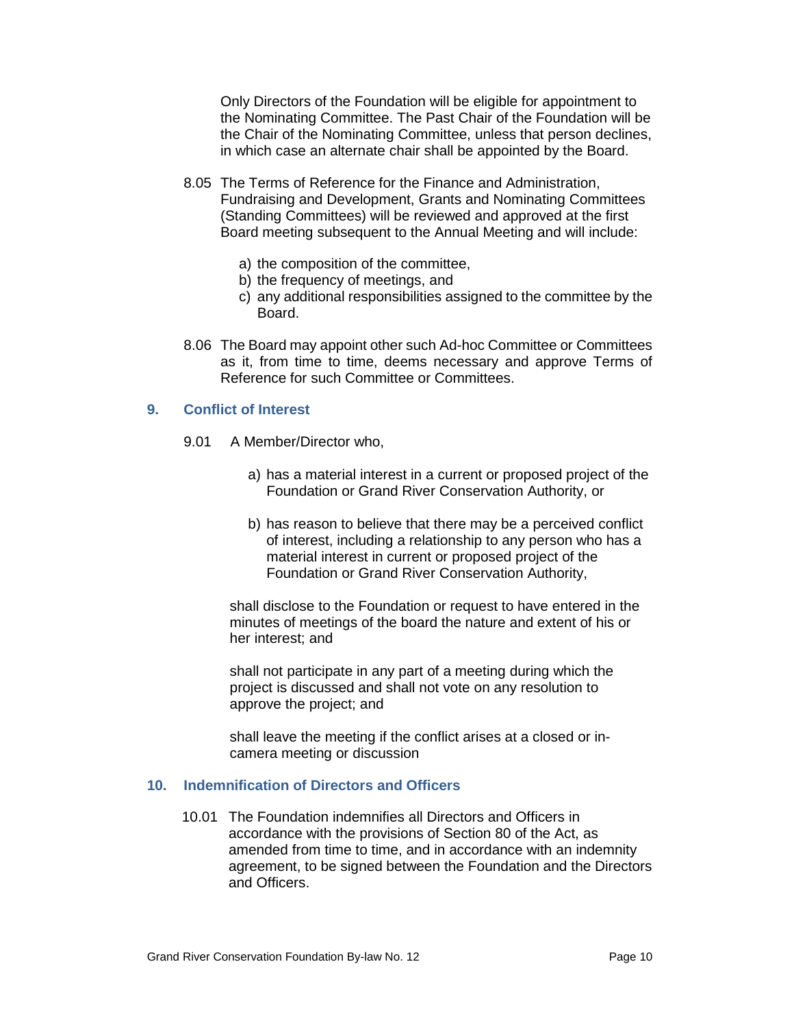Only Directors of the Foundation will be eligible for appointment to the Nominating Committee. The Past Chair of the Foundation will be the Chair of the Nominating Committee, unless that person declines, in which case an alternate chair shall be appointed by the Board.

- 8.05 The Terms of Reference for the Finance and Administration, Fundraising and Development, Grants and Nominating Committees (Standing Committees) will be reviewed and approved at the first Board meeting subsequent to the Annual Meeting and will include:
	- a) the composition of the committee,
	- b) the frequency of meetings, and
	- c) any additional responsibilities assigned to the committee by the Board.
- 8.06 The Board may appoint other such Ad-hoc Committee or Committees as it, from time to time, deems necessary and approve Terms of Reference for such Committee or Committees.

### <span id="page-9-0"></span>**9. Conflict of Interest**

- 9.01 A Member/Director who,
	- a) has a material interest in a current or proposed project of the Foundation or Grand River Conservation Authority, or
	- b) has reason to believe that there may be a perceived conflict of interest, including a relationship to any person who has a material interest in current or proposed project of the Foundation or Grand River Conservation Authority,

shall disclose to the Foundation or request to have entered in the minutes of meetings of the board the nature and extent of his or her interest; and

shall not participate in any part of a meeting during which the project is discussed and shall not vote on any resolution to approve the project; and

shall leave the meeting if the conflict arises at a closed or incamera meeting or discussion

## <span id="page-9-1"></span>**10. Indemnification of Directors and Officers**

10.01 The Foundation indemnifies all Directors and Officers in accordance with the provisions of Section 80 of the Act, as amended from time to time, and in accordance with an indemnity agreement, to be signed between the Foundation and the Directors and Officers.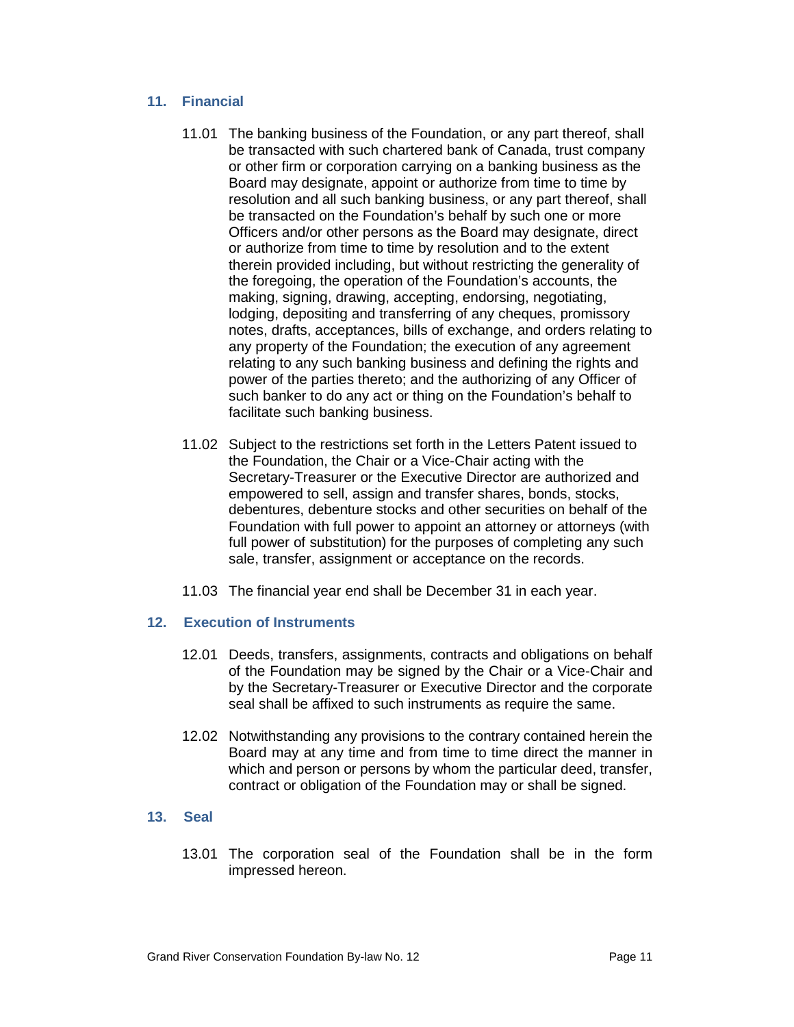## <span id="page-10-0"></span>**11. Financial**

- 11.01 The banking business of the Foundation, or any part thereof, shall be transacted with such chartered bank of Canada, trust company or other firm or corporation carrying on a banking business as the Board may designate, appoint or authorize from time to time by resolution and all such banking business, or any part thereof, shall be transacted on the Foundation's behalf by such one or more Officers and/or other persons as the Board may designate, direct or authorize from time to time by resolution and to the extent therein provided including, but without restricting the generality of the foregoing, the operation of the Foundation's accounts, the making, signing, drawing, accepting, endorsing, negotiating, lodging, depositing and transferring of any cheques, promissory notes, drafts, acceptances, bills of exchange, and orders relating to any property of the Foundation; the execution of any agreement relating to any such banking business and defining the rights and power of the parties thereto; and the authorizing of any Officer of such banker to do any act or thing on the Foundation's behalf to facilitate such banking business.
- 11.02 Subject to the restrictions set forth in the Letters Patent issued to the Foundation, the Chair or a Vice-Chair acting with the Secretary-Treasurer or the Executive Director are authorized and empowered to sell, assign and transfer shares, bonds, stocks, debentures, debenture stocks and other securities on behalf of the Foundation with full power to appoint an attorney or attorneys (with full power of substitution) for the purposes of completing any such sale, transfer, assignment or acceptance on the records.
- 11.03 The financial year end shall be December 31 in each year.

# <span id="page-10-1"></span>**12. Execution of Instruments**

- 12.01 Deeds, transfers, assignments, contracts and obligations on behalf of the Foundation may be signed by the Chair or a Vice-Chair and by the Secretary-Treasurer or Executive Director and the corporate seal shall be affixed to such instruments as require the same.
- 12.02 Notwithstanding any provisions to the contrary contained herein the Board may at any time and from time to time direct the manner in which and person or persons by whom the particular deed, transfer, contract or obligation of the Foundation may or shall be signed.

# <span id="page-10-2"></span>**13. Seal**

13.01 The corporation seal of the Foundation shall be in the form impressed hereon.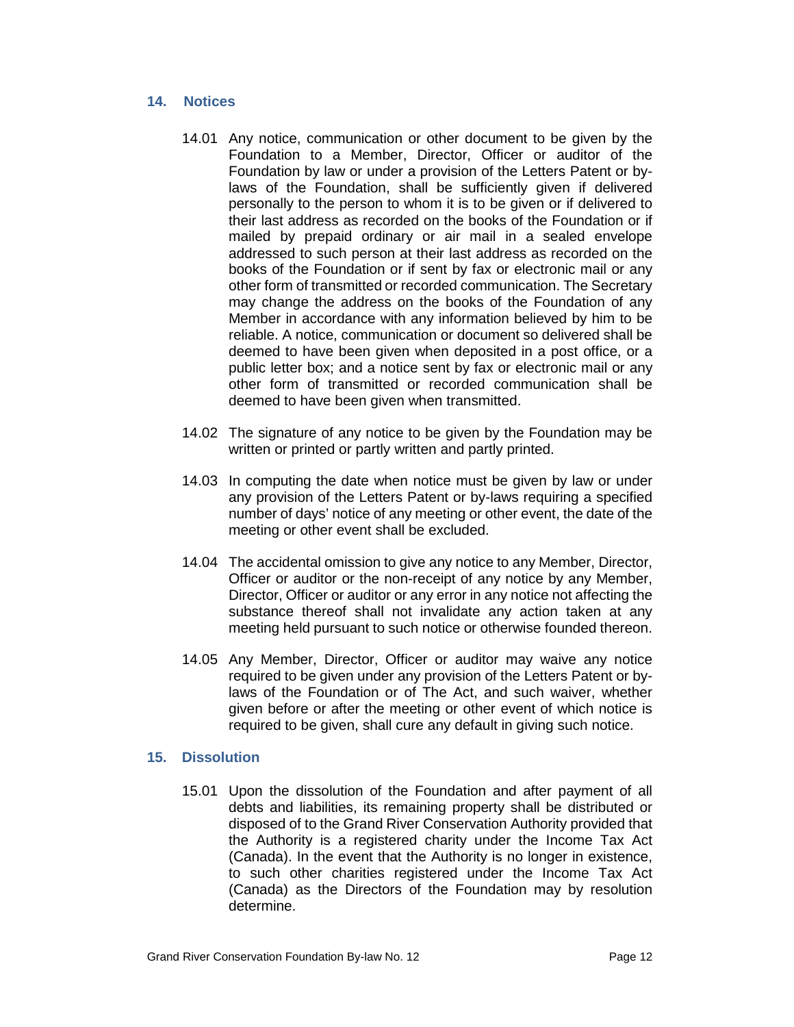### <span id="page-11-0"></span>**14. Notices**

- 14.01 Any notice, communication or other document to be given by the Foundation to a Member, Director, Officer or auditor of the Foundation by law or under a provision of the Letters Patent or bylaws of the Foundation, shall be sufficiently given if delivered personally to the person to whom it is to be given or if delivered to their last address as recorded on the books of the Foundation or if mailed by prepaid ordinary or air mail in a sealed envelope addressed to such person at their last address as recorded on the books of the Foundation or if sent by fax or electronic mail or any other form of transmitted or recorded communication. The Secretary may change the address on the books of the Foundation of any Member in accordance with any information believed by him to be reliable. A notice, communication or document so delivered shall be deemed to have been given when deposited in a post office, or a public letter box; and a notice sent by fax or electronic mail or any other form of transmitted or recorded communication shall be deemed to have been given when transmitted.
- 14.02 The signature of any notice to be given by the Foundation may be written or printed or partly written and partly printed.
- 14.03 In computing the date when notice must be given by law or under any provision of the Letters Patent or by-laws requiring a specified number of days' notice of any meeting or other event, the date of the meeting or other event shall be excluded.
- 14.04 The accidental omission to give any notice to any Member, Director, Officer or auditor or the non-receipt of any notice by any Member, Director, Officer or auditor or any error in any notice not affecting the substance thereof shall not invalidate any action taken at any meeting held pursuant to such notice or otherwise founded thereon.
- 14.05 Any Member, Director, Officer or auditor may waive any notice required to be given under any provision of the Letters Patent or bylaws of the Foundation or of The Act, and such waiver, whether given before or after the meeting or other event of which notice is required to be given, shall cure any default in giving such notice.

### <span id="page-11-1"></span>**15. Dissolution**

15.01 Upon the dissolution of the Foundation and after payment of all debts and liabilities, its remaining property shall be distributed or disposed of to the Grand River Conservation Authority provided that the Authority is a registered charity under the Income Tax Act (Canada). In the event that the Authority is no longer in existence, to such other charities registered under the Income Tax Act (Canada) as the Directors of the Foundation may by resolution determine.